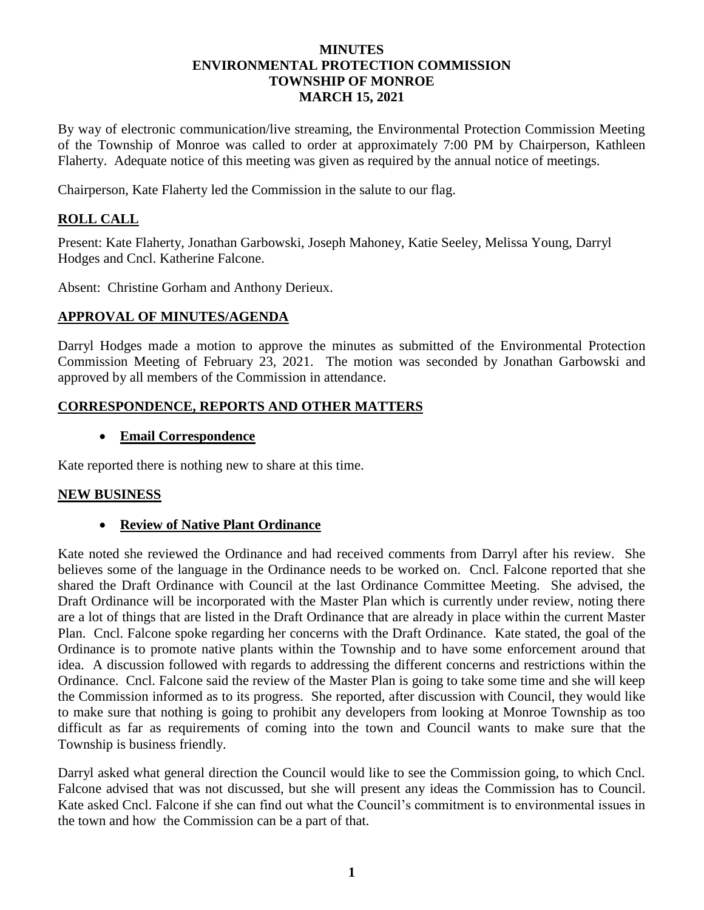#### **MINUTES ENVIRONMENTAL PROTECTION COMMISSION TOWNSHIP OF MONROE MARCH 15, 2021**

By way of electronic communication/live streaming, the Environmental Protection Commission Meeting of the Township of Monroe was called to order at approximately 7:00 PM by Chairperson, Kathleen Flaherty. Adequate notice of this meeting was given as required by the annual notice of meetings.

Chairperson, Kate Flaherty led the Commission in the salute to our flag.

# **ROLL CALL**

Present: Kate Flaherty, Jonathan Garbowski, Joseph Mahoney, Katie Seeley, Melissa Young, Darryl Hodges and Cncl. Katherine Falcone.

Absent: Christine Gorham and Anthony Derieux.

# **APPROVAL OF MINUTES/AGENDA**

Darryl Hodges made a motion to approve the minutes as submitted of the Environmental Protection Commission Meeting of February 23, 2021. The motion was seconded by Jonathan Garbowski and approved by all members of the Commission in attendance.

### **CORRESPONDENCE, REPORTS AND OTHER MATTERS**

### • **Email Correspondence**

Kate reported there is nothing new to share at this time.

#### **NEW BUSINESS**

### • **Review of Native Plant Ordinance**

Kate noted she reviewed the Ordinance and had received comments from Darryl after his review. She believes some of the language in the Ordinance needs to be worked on. Cncl. Falcone reported that she shared the Draft Ordinance with Council at the last Ordinance Committee Meeting. She advised, the Draft Ordinance will be incorporated with the Master Plan which is currently under review, noting there are a lot of things that are listed in the Draft Ordinance that are already in place within the current Master Plan. Cncl. Falcone spoke regarding her concerns with the Draft Ordinance. Kate stated, the goal of the Ordinance is to promote native plants within the Township and to have some enforcement around that idea. A discussion followed with regards to addressing the different concerns and restrictions within the Ordinance. Cncl. Falcone said the review of the Master Plan is going to take some time and she will keep the Commission informed as to its progress. She reported, after discussion with Council, they would like to make sure that nothing is going to prohibit any developers from looking at Monroe Township as too difficult as far as requirements of coming into the town and Council wants to make sure that the Township is business friendly.

Darryl asked what general direction the Council would like to see the Commission going, to which Cncl. Falcone advised that was not discussed, but she will present any ideas the Commission has to Council. Kate asked Cncl. Falcone if she can find out what the Council's commitment is to environmental issues in the town and how the Commission can be a part of that.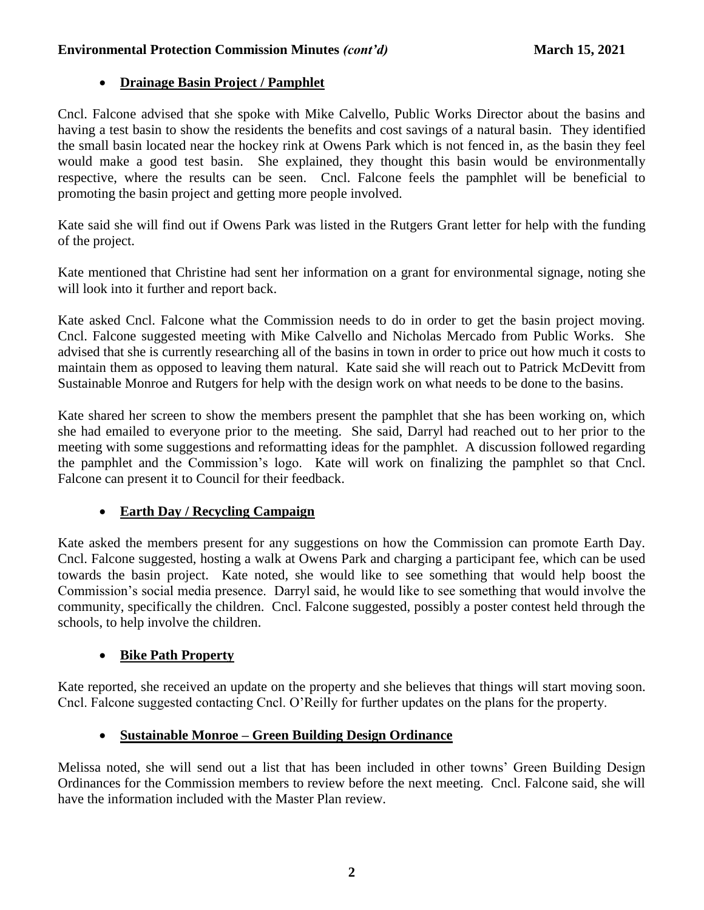#### Environmental Protection Commission Minutes *(cont'd)* March 15, 2021

### • **Drainage Basin Project / Pamphlet**

Cncl. Falcone advised that she spoke with Mike Calvello, Public Works Director about the basins and having a test basin to show the residents the benefits and cost savings of a natural basin. They identified the small basin located near the hockey rink at Owens Park which is not fenced in, as the basin they feel would make a good test basin. She explained, they thought this basin would be environmentally respective, where the results can be seen. Cncl. Falcone feels the pamphlet will be beneficial to promoting the basin project and getting more people involved.

Kate said she will find out if Owens Park was listed in the Rutgers Grant letter for help with the funding of the project.

Kate mentioned that Christine had sent her information on a grant for environmental signage, noting she will look into it further and report back.

Kate asked Cncl. Falcone what the Commission needs to do in order to get the basin project moving. Cncl. Falcone suggested meeting with Mike Calvello and Nicholas Mercado from Public Works. She advised that she is currently researching all of the basins in town in order to price out how much it costs to maintain them as opposed to leaving them natural. Kate said she will reach out to Patrick McDevitt from Sustainable Monroe and Rutgers for help with the design work on what needs to be done to the basins.

Kate shared her screen to show the members present the pamphlet that she has been working on, which she had emailed to everyone prior to the meeting. She said, Darryl had reached out to her prior to the meeting with some suggestions and reformatting ideas for the pamphlet. A discussion followed regarding the pamphlet and the Commission's logo. Kate will work on finalizing the pamphlet so that Cncl. Falcone can present it to Council for their feedback.

### • **Earth Day / Recycling Campaign**

Kate asked the members present for any suggestions on how the Commission can promote Earth Day. Cncl. Falcone suggested, hosting a walk at Owens Park and charging a participant fee, which can be used towards the basin project. Kate noted, she would like to see something that would help boost the Commission's social media presence. Darryl said, he would like to see something that would involve the community, specifically the children. Cncl. Falcone suggested, possibly a poster contest held through the schools, to help involve the children.

# • **Bike Path Property**

Kate reported, she received an update on the property and she believes that things will start moving soon. Cncl. Falcone suggested contacting Cncl. O'Reilly for further updates on the plans for the property.

# • **Sustainable Monroe – Green Building Design Ordinance**

Melissa noted, she will send out a list that has been included in other towns' Green Building Design Ordinances for the Commission members to review before the next meeting. Cncl. Falcone said, she will have the information included with the Master Plan review.